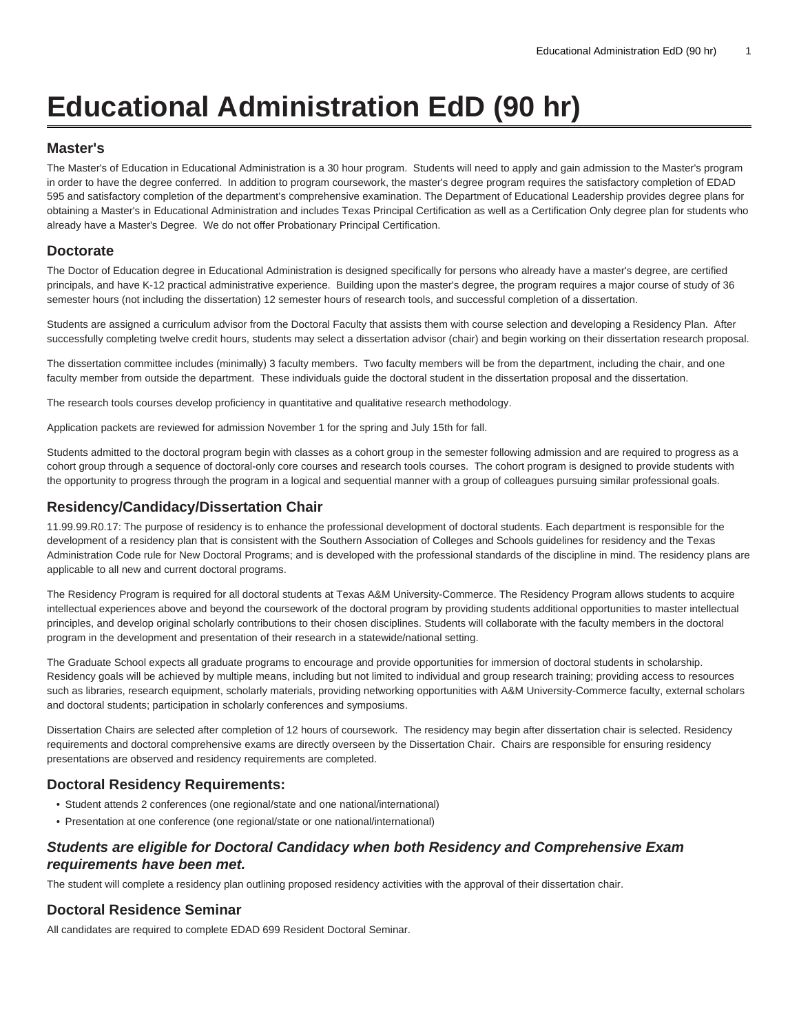# **Educational Administration EdD (90 hr)**

#### **Master's**

The Master's of Education in Educational Administration is a 30 hour program. Students will need to apply and gain admission to the Master's program in order to have the degree conferred. In addition to program coursework, the master's degree program requires the satisfactory completion of EDAD 595 and satisfactory completion of the department's comprehensive examination. The Department of Educational Leadership provides degree plans for obtaining a Master's in Educational Administration and includes Texas Principal Certification as well as a Certification Only degree plan for students who already have a Master's Degree. We do not offer Probationary Principal Certification.

#### **Doctorate**

The Doctor of Education degree in Educational Administration is designed specifically for persons who already have a master's degree, are certified principals, and have K-12 practical administrative experience. Building upon the master's degree, the program requires a major course of study of 36 semester hours (not including the dissertation) 12 semester hours of research tools, and successful completion of a dissertation.

Students are assigned a curriculum advisor from the Doctoral Faculty that assists them with course selection and developing a Residency Plan. After successfully completing twelve credit hours, students may select a dissertation advisor (chair) and begin working on their dissertation research proposal.

The dissertation committee includes (minimally) 3 faculty members. Two faculty members will be from the department, including the chair, and one faculty member from outside the department. These individuals guide the doctoral student in the dissertation proposal and the dissertation.

The research tools courses develop proficiency in quantitative and qualitative research methodology.

Application packets are reviewed for admission November 1 for the spring and July 15th for fall.

Students admitted to the doctoral program begin with classes as a cohort group in the semester following admission and are required to progress as a cohort group through a sequence of doctoral-only core courses and research tools courses. The cohort program is designed to provide students with the opportunity to progress through the program in a logical and sequential manner with a group of colleagues pursuing similar professional goals.

#### **Residency/Candidacy/Dissertation Chair**

11.99.99.R0.17: The purpose of residency is to enhance the professional development of doctoral students. Each department is responsible for the development of a residency plan that is consistent with the Southern Association of Colleges and Schools guidelines for residency and the Texas Administration Code rule for New Doctoral Programs; and is developed with the professional standards of the discipline in mind. The residency plans are applicable to all new and current doctoral programs.

The Residency Program is required for all doctoral students at Texas A&M University-Commerce. The Residency Program allows students to acquire intellectual experiences above and beyond the coursework of the doctoral program by providing students additional opportunities to master intellectual principles, and develop original scholarly contributions to their chosen disciplines. Students will collaborate with the faculty members in the doctoral program in the development and presentation of their research in a statewide/national setting.

The Graduate School expects all graduate programs to encourage and provide opportunities for immersion of doctoral students in scholarship. Residency goals will be achieved by multiple means, including but not limited to individual and group research training; providing access to resources such as libraries, research equipment, scholarly materials, providing networking opportunities with A&M University-Commerce faculty, external scholars and doctoral students; participation in scholarly conferences and symposiums.

Dissertation Chairs are selected after completion of 12 hours of coursework. The residency may begin after dissertation chair is selected. Residency requirements and doctoral comprehensive exams are directly overseen by the Dissertation Chair. Chairs are responsible for ensuring residency presentations are observed and residency requirements are completed.

### **Doctoral Residency Requirements:**

- Student attends 2 conferences (one regional/state and one national/international)
- Presentation at one conference (one regional/state or one national/international)

### **Students are eligible for Doctoral Candidacy when both Residency and Comprehensive Exam requirements have been met.**

The student will complete a residency plan outlining proposed residency activities with the approval of their dissertation chair.

#### **Doctoral Residence Seminar**

All candidates are required to complete [EDAD 699](/search/?P=EDAD%20699) Resident Doctoral Seminar.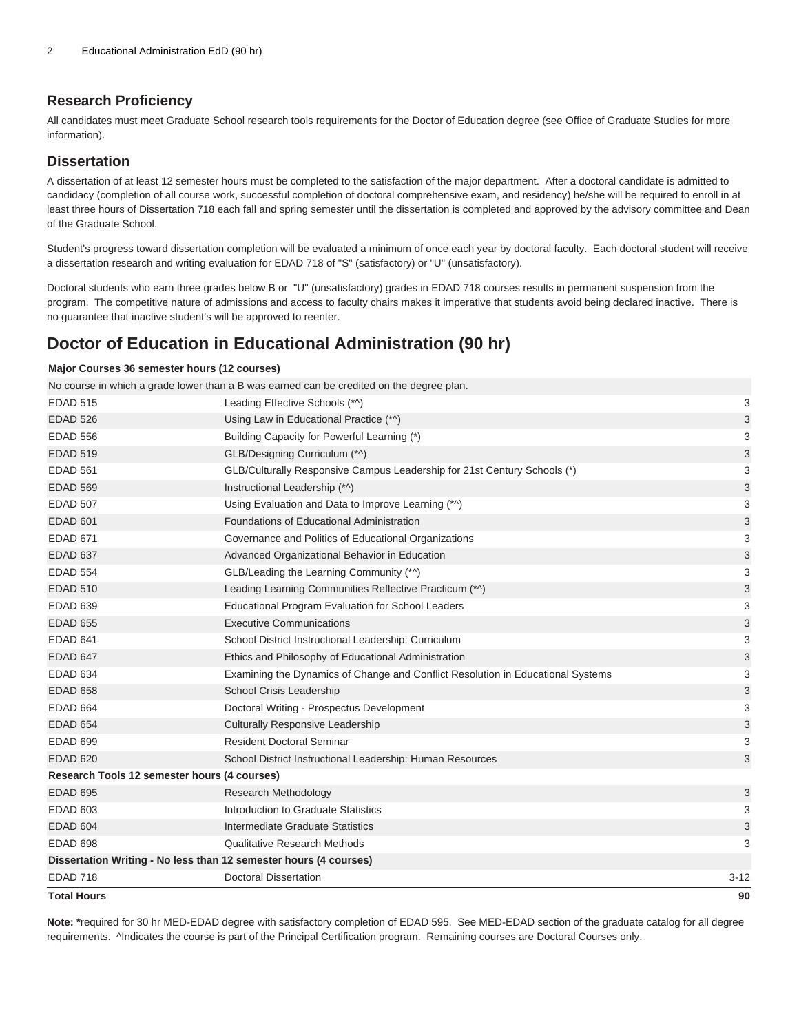### **Research Proficiency**

All candidates must meet Graduate School research tools requirements for the Doctor of Education degree (see Office of Graduate Studies for more information).

#### **Dissertation**

A dissertation of at least 12 semester hours must be completed to the satisfaction of the major department. After a doctoral candidate is admitted to candidacy (completion of all course work, successful completion of doctoral comprehensive exam, and residency) he/she will be required to enroll in at least three hours of Dissertation 718 each fall and spring semester until the dissertation is completed and approved by the advisory committee and Dean of the Graduate School.

Student's progress toward dissertation completion will be evaluated a minimum of once each year by doctoral faculty. Each doctoral student will receive a dissertation research and writing evaluation for EDAD 718 of "S" (satisfactory) or "U" (unsatisfactory).

Doctoral students who earn three grades below B or "U" (unsatisfactory) grades in EDAD 718 courses results in permanent suspension from the program. The competitive nature of admissions and access to faculty chairs makes it imperative that students avoid being declared inactive. There is no guarantee that inactive student's will be approved to reenter.

## **Doctor of Education in Educational Administration (90 hr)**

#### **Major Courses 36 semester hours (12 courses)**

| Total Hours                                  |                                                                                          | 90       |
|----------------------------------------------|------------------------------------------------------------------------------------------|----------|
| <b>EDAD 718</b>                              | <b>Doctoral Dissertation</b>                                                             | $3 - 12$ |
|                                              | Dissertation Writing - No less than 12 semester hours (4 courses)                        |          |
| <b>EDAD 698</b>                              | <b>Qualitative Research Methods</b>                                                      | 3        |
| <b>EDAD 604</b>                              | Intermediate Graduate Statistics                                                         | 3        |
| <b>EDAD 603</b>                              | Introduction to Graduate Statistics                                                      | 3        |
| <b>EDAD 695</b>                              | Research Methodology                                                                     | 3        |
| Research Tools 12 semester hours (4 courses) |                                                                                          |          |
| <b>EDAD 620</b>                              | School District Instructional Leadership: Human Resources                                | 3        |
| <b>EDAD 699</b>                              | <b>Resident Doctoral Seminar</b>                                                         | 3        |
| <b>EDAD 654</b>                              | <b>Culturally Responsive Leadership</b>                                                  | 3        |
| <b>EDAD 664</b>                              | Doctoral Writing - Prospectus Development                                                | 3        |
| <b>EDAD 658</b>                              | School Crisis Leadership                                                                 | 3        |
| <b>EDAD 634</b>                              | Examining the Dynamics of Change and Conflict Resolution in Educational Systems          | 3        |
| EDAD 647                                     | Ethics and Philosophy of Educational Administration                                      | 3        |
| EDAD 641                                     | School District Instructional Leadership: Curriculum                                     | 3        |
| <b>EDAD 655</b>                              | <b>Executive Communications</b>                                                          | 3        |
| <b>EDAD 639</b>                              | Educational Program Evaluation for School Leaders                                        | 3        |
| <b>EDAD 510</b>                              | Leading Learning Communities Reflective Practicum (*^)                                   | 3        |
| <b>EDAD 554</b>                              | GLB/Leading the Learning Community (*^)                                                  | 3        |
| EDAD 637                                     | Advanced Organizational Behavior in Education                                            | 3        |
| <b>EDAD 671</b>                              | Governance and Politics of Educational Organizations                                     | 3        |
| <b>EDAD 601</b>                              | Foundations of Educational Administration                                                | 3        |
| <b>EDAD 507</b>                              | Using Evaluation and Data to Improve Learning (*^)                                       | 3        |
| <b>EDAD 569</b>                              | Instructional Leadership (*^)                                                            | 3        |
| <b>EDAD 561</b>                              | GLB/Culturally Responsive Campus Leadership for 21st Century Schools (*)                 | 3        |
| <b>EDAD 519</b>                              | GLB/Designing Curriculum (*^)                                                            | 3        |
| <b>EDAD 556</b>                              | Building Capacity for Powerful Learning (*)                                              | 3        |
| <b>EDAD 526</b>                              | Using Law in Educational Practice (*^)                                                   | 3        |
| <b>EDAD 515</b>                              | Leading Effective Schools (*^)                                                           | 3        |
|                                              | No course in which a grade lower than a B was earned can be credited on the degree plan. |          |

**Note: \***required for 30 hr MED-EDAD degree with satisfactory completion of EDAD 595. See MED-EDAD section of the graduate catalog for all degree requirements. ^Indicates the course is part of the Principal Certification program. Remaining courses are Doctoral Courses only.